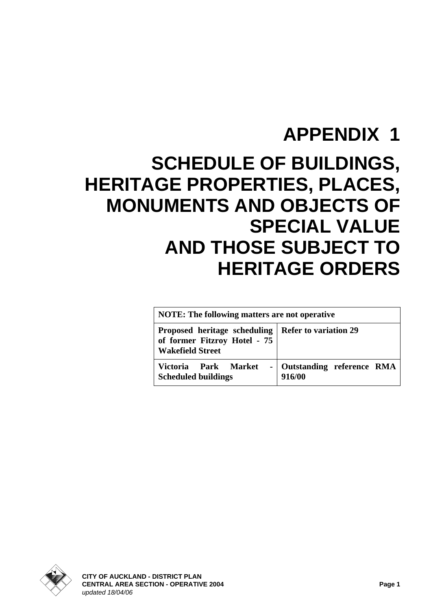# **APPENDIX 1**

## **SCHEDULE OF BUILDINGS, HERITAGE PROPERTIES, PLACES, MONUMENTS AND OBJECTS OF SPECIAL VALUE AND THOSE SUBJECT TO HERITAGE ORDERS**

| <b>NOTE:</b> The following matters are not operative                                    |                                     |  |  |  |  |  |  |  |
|-----------------------------------------------------------------------------------------|-------------------------------------|--|--|--|--|--|--|--|
| Proposed heritage scheduling<br>of former Fitzroy Hotel - 75<br><b>Wakefield Street</b> | Refer to variation 29               |  |  |  |  |  |  |  |
| Victoria Park Market<br>-<br><b>Scheduled buildings</b>                                 | Outstanding reference RMA<br>916/00 |  |  |  |  |  |  |  |

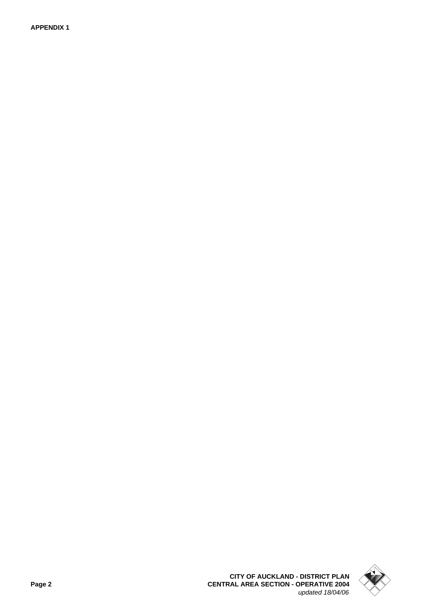**APPENDIX 1**

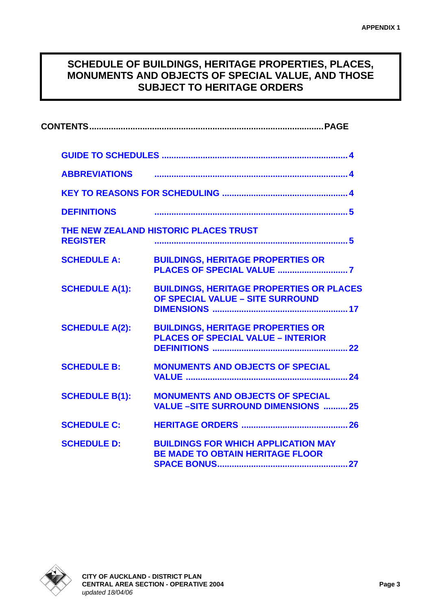## **SCHEDULE OF BUILDINGS, HERITAGE PROPERTIES, PLACES, MONUMENTS AND OBJECTS OF SPECIAL VALUE, AND THOSE SUBJECT TO HERITAGE ORDERS**

| <b>ABBREVIATIONS</b>  |                                                                                       |
|-----------------------|---------------------------------------------------------------------------------------|
|                       |                                                                                       |
| <b>DEFINITIONS</b>    |                                                                                       |
| <b>REGISTER</b>       | THE NEW ZEALAND HISTORIC PLACES TRUST                                                 |
| <b>SCHEDULE A:</b>    | <b>BUILDINGS, HERITAGE PROPERTIES OR</b>                                              |
| <b>SCHEDULE A(1):</b> | <b>BUILDINGS, HERITAGE PROPERTIES OR PLACES</b><br>OF SPECIAL VALUE - SITE SURROUND   |
| <b>SCHEDULE A(2):</b> | <b>BUILDINGS, HERITAGE PROPERTIES OR</b><br><b>PLACES OF SPECIAL VALUE - INTERIOR</b> |
| <b>SCHEDULE B:</b>    | <b>MONUMENTS AND OBJECTS OF SPECIAL</b>                                               |
| <b>SCHEDULE B(1):</b> | <b>MONUMENTS AND OBJECTS OF SPECIAL</b><br><b>VALUE-SITE SURROUND DIMENSIONS 25</b>   |
| <b>SCHEDULE C:</b>    |                                                                                       |
| <b>SCHEDULE D:</b>    | <b>BUILDINGS FOR WHICH APPLICATION MAY</b><br><b>BE MADE TO OBTAIN HERITAGE FLOOR</b> |

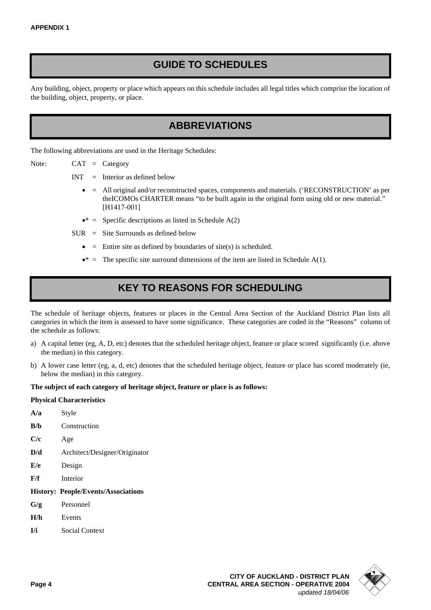## **GUIDE TO SCHEDULES**

<span id="page-3-0"></span>Any building, object, property or place which appears on this schedule includes all legal titles which comprise the location of the building, object, property, or place.

## **ABBREVIATIONS**

The following abbreviations are used in the Heritage Schedules:

Note: CAT = Category

INT = Interior as defined below

- = All original and/or reconstructed spaces, components and materials. ('RECONSTRUCTION' as per theICOMOs CHARTER means "to be built again in the original form using old or new material." [H1417-001]
- $\bullet^*$  = Specific descriptions as listed in Schedule A(2)
- $SUR = Site Surrounds as defined below$ 
	- $\bullet$  = Entire site as defined by boundaries of site(s) is scheduled.
	- $\bullet^*$  = The specific site surround dimensions of the item are listed in Schedule A(1).

### **KEY TO REASONS FOR SCHEDULING**

The schedule of heritage objects, features or places in the Central Area Section of the Auckland District Plan lists all categories in which the item is assessed to have some significance. These categories are coded in the "Reasons" column of the schedule as follows:

- a) A capital letter (eg, A, D, etc) denotes that the scheduled heritage object, feature or place scored significantly (i.e. above the median) in this category.
- b) A lower case letter (eg, a, d, etc) denotes that the scheduled heritage object, feature or place has scored moderately (ie, below the median) in this category.

#### **The subject of each category of heritage object, feature or place is as follows:**

#### **Physical Characteristics**

- **A/a** Style **B/b** Construction **C/c** Age **D/d** Architect/Designer/Originator **E/e** Design **F/f** Interior **History: People/Events/Associations**
- **G/g** Personnel
- **H/h** Events
- **I/i** Social Context

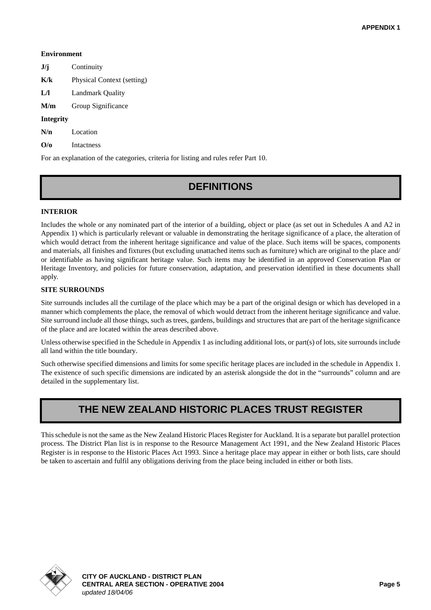#### <span id="page-4-0"></span>**Environment**

**J/j** Continuity **K/k** Physical Context (setting) **L/l** Landmark Quality **M/m** Group Significance **Integrity N/n** Location

**O/o** Intactness

For an explanation of the categories, criteria for listing and rules refer Part 10.

## **DEFINITIONS**

#### **INTERIOR**

Includes the whole or any nominated part of the interior of a building, object or place (as set out in Schedules A and A2 in Appendix 1) which is particularly relevant or valuable in demonstrating the heritage significance of a place, the alteration of which would detract from the inherent heritage significance and value of the place. Such items will be spaces, components and materials, all finishes and fixtures (but excluding unattached items such as furniture) which are original to the place and/ or identifiable as having significant heritage value. Such items may be identified in an approved Conservation Plan or Heritage Inventory, and policies for future conservation, adaptation, and preservation identified in these documents shall apply.

#### **SITE SURROUNDS**

Site surrounds includes all the curtilage of the place which may be a part of the original design or which has developed in a manner which complements the place, the removal of which would detract from the inherent heritage significance and value. Site surround include all those things, such as trees, gardens, buildings and structures that are part of the heritage significance of the place and are located within the areas described above.

Unless otherwise specified in the Schedule in Appendix 1 as including additional lots, or part(s) of lots, site surrounds include all land within the title boundary.

Such otherwise specified dimensions and limits for some specific heritage places are included in the schedule in Appendix 1. The existence of such specific dimensions are indicated by an asterisk alongside the dot in the "surrounds" column and are detailed in the supplementary list.

## **THE NEW ZEALAND HISTORIC PLACES TRUST REGISTER**

This schedule is not the same as the New Zealand Historic Places Register for Auckland. It is a separate but parallel protection process. The District Plan list is in response to the Resource Management Act 1991, and the New Zealand Historic Places Register is in response to the Historic Places Act 1993. Since a heritage place may appear in either or both lists, care should be taken to ascertain and fulfil any obligations deriving from the place being included in either or both lists.

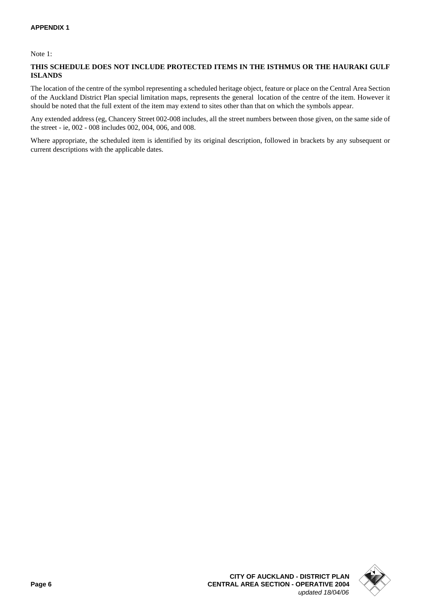Note 1:

#### **THIS SCHEDULE DOES NOT INCLUDE PROTECTED ITEMS IN THE ISTHMUS OR THE HAURAKI GULF ISLANDS**

The location of the centre of the symbol representing a scheduled heritage object, feature or place on the Central Area Section of the Auckland District Plan special limitation maps, represents the general location of the centre of the item. However it should be noted that the full extent of the item may extend to sites other than that on which the symbols appear.

Any extended address (eg, Chancery Street 002-008 includes, all the street numbers between those given, on the same side of the street - ie, 002 - 008 includes 002, 004, 006, and 008.

Where appropriate, the scheduled item is identified by its original description, followed in brackets by any subsequent or current descriptions with the applicable dates.

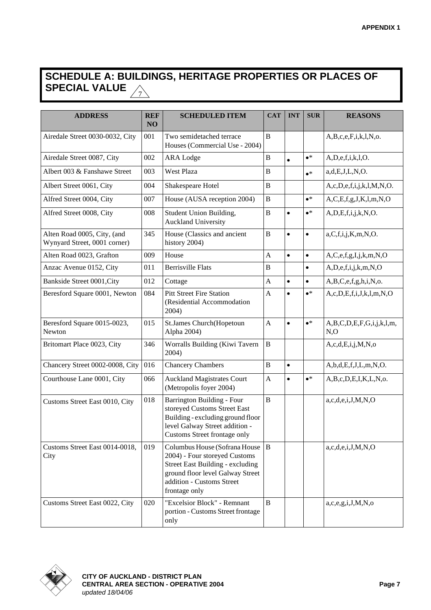## <span id="page-6-0"></span>**SCHEDULE A: BUILDINGS, HERITAGE PROPERTIES OR PLACES OF SPECIAL VALUE**  7

| <b>ADDRESS</b>                                              | <b>REF</b><br>N <sub>O</sub> | <b>SCHEDULED ITEM</b>                                                                                                                                                                    | <b>CAT</b>   | <b>INT</b> | <b>SUR</b>  | <b>REASONS</b>                      |
|-------------------------------------------------------------|------------------------------|------------------------------------------------------------------------------------------------------------------------------------------------------------------------------------------|--------------|------------|-------------|-------------------------------------|
| Airedale Street 0030-0032, City                             | 001                          | Two semidetached terrace<br>Houses (Commercial Use - 2004)                                                                                                                               | B            |            |             | A, B, c, e, F, i, k, l, N, o.       |
| Airedale Street 0087, City                                  | 002                          | ARA Lodge                                                                                                                                                                                | B            |            | $\bullet^*$ | A, D, e, f, i, k, l, O.             |
| Albert 003 & Fanshawe Street                                | 003                          | <b>West Plaza</b>                                                                                                                                                                        | $\mathbf B$  |            | $\bullet^*$ | a,d,E,J,L,N,O.                      |
| Albert Street 0061, City                                    | 004                          | Shakespeare Hotel                                                                                                                                                                        | B            |            |             | A, c, D, e, f, i, j, k, l, M, N, O. |
| Alfred Street 0004, City                                    | 007                          | House (AUSA reception 2004)                                                                                                                                                              | $\, {\bf B}$ |            | $\bullet^*$ | A, C, E, f, g, J, K, l, m, N, O     |
| Alfred Street 0008, City                                    | 008                          | Student Union Building,<br><b>Auckland University</b>                                                                                                                                    | $\, {\bf B}$ | $\bullet$  | $\bullet^*$ | A, D, E, f, i, j, k, N, O.          |
| Alten Road 0005, City, (and<br>Wynyard Street, 0001 corner) | 345                          | House (Classics and ancient<br>history 2004)                                                                                                                                             | $\, {\bf B}$ | $\bullet$  | $\bullet$   | a, C, f, i, j, K, m, N, O.          |
| Alten Road 0023, Grafton                                    | 009                          | House                                                                                                                                                                                    | A            | $\bullet$  | $\bullet$   | A, C, e, f, g, I, j, k, m, N, O     |
| Anzac Avenue 0152, City                                     | 011                          | <b>Berrisville Flats</b>                                                                                                                                                                 | $\, {\bf B}$ |            | $\bullet$   | A,D,e,f,i,j,k,m,N,O                 |
| Bankside Street 0001, City                                  | 012                          | Cottage                                                                                                                                                                                  | $\mathbf{A}$ | $\bullet$  | $\bullet$   | A,B,C,e,f,g,h,i,N,o.                |
| Beresford Square 0001, Newton                               | 084                          | <b>Pitt Street Fire Station</b><br>(Residential Accommodation<br>2004)                                                                                                                   | A            | $\bullet$  | $\bullet^*$ | A, c, D, E, f, i, J, k, l, m, N, O  |
| Beresford Square 0015-0023,<br>Newton                       | 015                          | <b>St.James Church</b> (Hopetoun<br>Alpha 2004)                                                                                                                                          | $\mathbf{A}$ | $\bullet$  | $\bullet^*$ | A,B,C,D,E,F,G,i,j,k,l,m,<br>N, O    |
| Britomart Place 0023, City                                  | 346                          | Worralls Building (Kiwi Tavern<br>2004)                                                                                                                                                  | $\, {\bf B}$ |            |             | A, c, d, E, i, j, M, N, o           |
| Chancery Street 0002-0008, City                             | 016                          | <b>Chancery Chambers</b>                                                                                                                                                                 | $\, {\bf B}$ | $\bullet$  |             | A,b,d,E,f,J,L,m,N,O.                |
| Courthouse Lane 0001, City                                  | 066                          | <b>Auckland Magistrates Court</b><br>(Metropolis foyer 2004)                                                                                                                             | $\mathbf{A}$ | $\bullet$  | $\bullet^*$ | A,B,c,D,E,I,K,L,N,o.                |
| Customs Street East 0010, City                              | 018                          | Barrington Building - Four<br>storeyed Customs Street East<br>Building - excluding ground floor<br>level Galway Street addition -<br>Customs Street frontage only                        | $\, {\bf B}$ |            |             | a, c, d, e, i, J, M, N, O           |
| Customs Street East 0014-0018,<br>City                      | 019                          | Columbus House (Sofrana House   B<br>2004) - Four storeyed Customs<br>Street East Building - excluding<br>ground floor level Galway Street<br>addition - Customs Street<br>frontage only |              |            |             | a, c, d, e, i, J, M, N, O           |
| Customs Street East 0022, City                              | 020                          | "Excelsior Block" - Remnant<br>portion - Customs Street frontage<br>only                                                                                                                 | $\, {\bf B}$ |            |             | a,c,e,g,i,J,M,N,o                   |

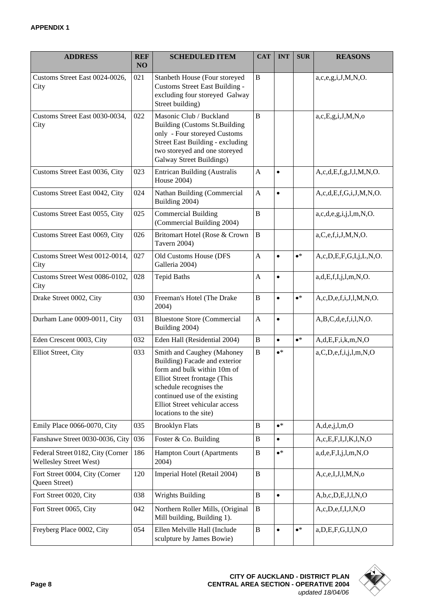| <b>ADDRESS</b>                                                     | <b>REF</b><br>NO | <b>SCHEDULED ITEM</b>                                                                                                                                                                                                                              | <b>CAT</b>     | <b>INT</b>  | <b>SUR</b>  | <b>REASONS</b>                   |
|--------------------------------------------------------------------|------------------|----------------------------------------------------------------------------------------------------------------------------------------------------------------------------------------------------------------------------------------------------|----------------|-------------|-------------|----------------------------------|
| Customs Street East 0024-0026,<br>City                             | 021              | Stanbeth House (Four storeyed<br>Customs Street East Building -<br>excluding four storeyed Galway<br>Street building)                                                                                                                              | $\, {\bf B}$   |             |             | a,c,e,g,i,J,M,N,O.               |
| Customs Street East 0030-0034,<br>City                             | 022              | Masonic Club / Buckland<br><b>Building (Customs St.Building</b><br>only - Four storeyed Customs<br><b>Street East Building - excluding</b><br>two storeyed and one storeyed<br>Galway Street Buildings)                                            | $\bf{B}$       |             |             | a, c, E, g, i, J, M, N, o        |
| Customs Street East 0036, City                                     | 023              | <b>Entrican Building (Australis</b><br><b>House 2004)</b>                                                                                                                                                                                          | $\mathbf{A}$   | $\bullet$   |             | A, c, d, E, f, g, J, l, M, N, O. |
| Customs Street East 0042, City                                     | 024              | Nathan Building (Commercial<br>Building 2004)                                                                                                                                                                                                      | $\mathbf{A}$   | $\bullet$   |             | A,c,d,E,f,G,i,J,M,N,O.           |
| Customs Street East 0055, City                                     | 025              | <b>Commercial Building</b><br>(Commercial Building 2004)                                                                                                                                                                                           | $\bf{B}$       |             |             | a, c, d, e, g, i, j, l, m, N, O. |
| Customs Street East 0069, City                                     | 026              | Britomart Hotel (Rose & Crown<br>Tavern 2004)                                                                                                                                                                                                      | $\bf{B}$       |             |             | a, C, e, f, i, J, M, N, O.       |
| Customs Street West 0012-0014,<br>City                             | 027              | Old Customs House (DFS<br>Galleria 2004)                                                                                                                                                                                                           | $\mathbf{A}$   | $\bullet$   | $\bullet^*$ | A, c, D, E, F, G, I, j, L, N, O. |
| Customs Street West 0086-0102,<br>City                             | 028              | <b>Tepid Baths</b>                                                                                                                                                                                                                                 | $\mathbf{A}$   | $\bullet$   |             | a,d,E,f,I,j,l,m,N,O.             |
| Drake Street 0002, City                                            | 030              | Freeman's Hotel (The Drake<br>2004)                                                                                                                                                                                                                | $\, {\bf B}$   | $\bullet$   | $\bullet^*$ | A, c, D, e, f, i, J, l, M, N, O. |
| Durham Lane 0009-0011, City                                        | 031              | <b>Bluestone Store (Commercial</b><br>Building 2004)                                                                                                                                                                                               | $\mathbf{A}$   | $\bullet$   |             | A, B, C, d, e, f, i, l, N, O.    |
| Eden Crescent 0003, City                                           | 032              | Eden Hall (Residential 2004)                                                                                                                                                                                                                       | $\overline{B}$ | $\bullet$   | $\bullet^*$ | A,d,E,F,i,k,m,N,O                |
| Elliot Street, City                                                | 033              | Smith and Caughey (Mahoney<br>Building) Facade and exterior<br>form and bulk within 10m of<br>Elliot Street frontage (This<br>schedule recognises the<br>continued use of the existing<br>Elliot Street vehicular access<br>locations to the site) | $\bf{B}$       | $\bullet^*$ |             | a, C, D, e, f, i, j, l, m, N, O  |
| Emily Place 0066-0070, City                                        | 035              | <b>Brooklyn Flats</b>                                                                                                                                                                                                                              | B              | $\bullet^*$ |             | A,d,e,j,l,m,O                    |
| Fanshawe Street 0030-0036, City                                    | 036              | Foster & Co. Building                                                                                                                                                                                                                              | $\, {\bf B}$   | $\bullet$   |             | A, c, E, F, I, J, K, l, N, O     |
| Federal Street 0182, City (Corner<br><b>Wellesley Street West)</b> | 186              | <b>Hampton Court (Apartments</b><br>2004)                                                                                                                                                                                                          | $\, {\bf B}$   | $\bullet^*$ |             | a,d,e,F,I,j,l,m,N,O              |
| Fort Street 0004, City (Corner<br>Queen Street)                    | 120              | Imperial Hotel (Retail 2004)                                                                                                                                                                                                                       | $\, {\bf B}$   |             |             | A, c, e, I, J, l, M, N, o        |
| Fort Street 0020, City                                             | 038              | <b>Wrights Building</b>                                                                                                                                                                                                                            | $\, {\bf B}$   | $\bullet$   |             | A,b,c,D,E,J,l,N,O                |
| Fort Street 0065, City                                             | 042              | Northern Roller Mills, (Original<br>Mill building, Building 1).                                                                                                                                                                                    | $\, {\bf B}$   |             |             | A, c, D, e, f, I, J, N, O        |
| Freyberg Place 0002, City                                          | 054              | Ellen Melville Hall (Include<br>sculpture by James Bowie)                                                                                                                                                                                          | $\, {\bf B}$   | $\bullet$   | $\bullet^*$ | a, D, E, F, G, I, 1, N, O        |

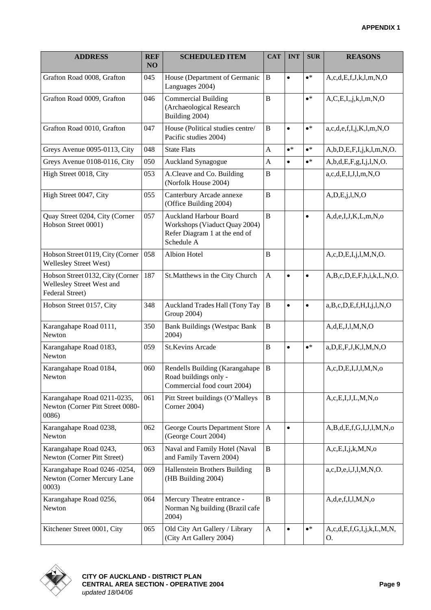| <b>ADDRESS</b>                                                                   | <b>REF</b><br>NO | <b>SCHEDULED ITEM</b>                                                                                         | <b>CAT</b>   | <b>INT</b>  | <b>SUR</b>     | <b>REASONS</b>                            |
|----------------------------------------------------------------------------------|------------------|---------------------------------------------------------------------------------------------------------------|--------------|-------------|----------------|-------------------------------------------|
| Grafton Road 0008, Grafton                                                       | 045              | House (Department of Germanic<br>Languages 2004)                                                              | $\, {\bf B}$ | $\bullet$   | $\bullet^*$    | A, c, d, E, f, J, k, l, m, N, O           |
| Grafton Road 0009, Grafton                                                       | 046              | <b>Commercial Building</b><br>(Archaeological Research<br>Building 2004)                                      | $\bf{B}$     |             | $\bullet^*$    | A, C, E, I, j, k, l, m, N, O              |
| Grafton Road 0010, Grafton                                                       | 047              | House (Political studies centre/<br>Pacific studies 2004)                                                     | B            | $\bullet$   | $\bullet^*$    | a, c, d, e, f, I, j, K, l, m, N, O        |
| Greys Avenue 0095-0113, City                                                     | 048              | <b>State Flats</b>                                                                                            | $\mathbf{A}$ | $\bullet^*$ | $\bullet^*$    | A,b,D,E,F,I,j,k,l,m,N,O.                  |
| Greys Avenue 0108-0116, City                                                     | 050              | Auckland Synagogue                                                                                            | $\mathbf{A}$ | $\bullet$   | $\bullet^*$    | A,b,d,E,F,g,I,j,l,N,O.                    |
| High Street 0018, City                                                           | 053              | A.Cleave and Co. Building<br>(Norfolk House 2004)                                                             | $\, {\bf B}$ |             |                | a,c,d,E,I,J,l,m,N,O                       |
| High Street 0047, City                                                           | 055              | Canterbury Arcade annexe<br>(Office Building 2004)                                                            | $\, {\bf B}$ |             |                | A, D, E, j, l, N, O                       |
| Quay Street 0204, City (Corner<br>Hobson Street 0001)                            | 057              | <b>Auckland Harbour Board</b><br>Workshops (Viaduct Quay 2004)<br>Refer Diagram 1 at the end of<br>Schedule A | $\mathbf{B}$ |             | $\bullet$      | A,d,e,I,J,K,L,m,N,o                       |
| Hobson Street 0119, City (Corner<br><b>Wellesley Street West)</b>                | 058              | Albion Hotel                                                                                                  | $\, {\bf B}$ |             |                | A, c, D, E, I, j, l, M, N, O.             |
| Hobson Street 0132, City (Corner<br>Wellesley Street West and<br>Federal Street) | 187              | St.Matthews in the City Church                                                                                | $\mathbf{A}$ | $\bullet$   | $\bullet$      | A,B,c,D,E,F,h,i,k,L,N,O.                  |
| Hobson Street 0157, City                                                         | 348              | Auckland Trades Hall (Tony Tay<br>Group 2004)                                                                 | $\, {\bf B}$ | $\bullet$   | $\bullet$      | a, B, c, D, E, f, H, I, j, l, N, O        |
| Karangahape Road 0111,<br>Newton                                                 | 350              | <b>Bank Buildings (Westpac Bank</b><br>2004)                                                                  | $\, {\bf B}$ |             |                | A,d,E,J,l,M,N,O                           |
| Karangahape Road 0183,<br>Newton                                                 | 059              | <b>St.Kevins Arcade</b>                                                                                       | $\bf{B}$     | $\bullet$   | $\bullet^\ast$ | a, D, E, F, J, K, l, M, N, O              |
| Karangahape Road 0184,<br>Newton                                                 | 060              | Rendells Building (Karangahape<br>Road buildings only -<br>Commercial food court 2004)                        | $\, {\bf B}$ |             |                | A,c,D,E,I,J,l,M,N,o                       |
| Karangahape Road 0211-0235,<br>Newton (Corner Pitt Street 0080-<br>0086)         | 061              | Pitt Street buildings (O'Malleys<br>Corner 2004)                                                              | $\, {\bf B}$ |             |                | A, c, E, I, J, L, M, N, o                 |
| Karangahape Road 0238,<br>Newton                                                 | 062              | George Courts Department Store   A<br>(George Court 2004)                                                     |              | $\bullet$   |                | A,B,d,E,f,G,I,J,l,M,N,o                   |
| Karangahape Road 0243,<br>Newton (Corner Pitt Street)                            | 063              | Naval and Family Hotel (Naval<br>and Family Tavern 2004)                                                      | $\, {\bf B}$ |             |                | A, c, E, I, j, k, M, N, o                 |
| Karangahape Road 0246 -0254,<br>Newton (Corner Mercury Lane<br>0003)             | 069              | Hallenstein Brothers Building<br>(HB Building 2004)                                                           | $\, {\bf B}$ |             |                | a,c,D,e,i,J,l,M,N,O.                      |
| Karangahape Road 0256,<br>Newton                                                 | 064              | Mercury Theatre entrance -<br>Norman Ng building (Brazil cafe<br>2004)                                        | $\, {\bf B}$ |             |                | A,d,e,f,I,l,M,N,o                         |
| Kitchener Street 0001, City                                                      | 065              | Old City Art Gallery / Library<br>(City Art Gallery 2004)                                                     | $\mathbf{A}$ | $\bullet$   | $\bullet^*$    | A, c, d, E, f, G, I, j, k, L, M, N,<br>O. |

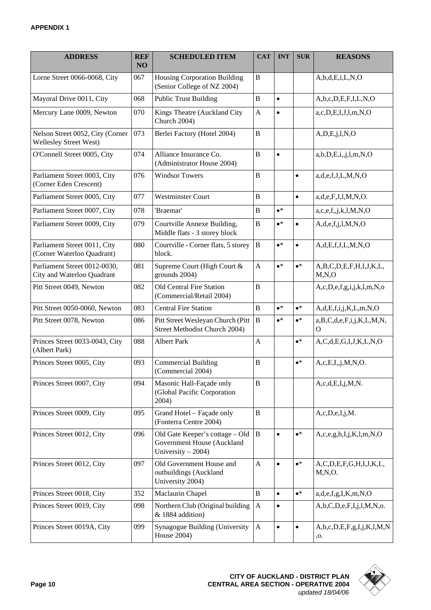| <b>ADDRESS</b>                                                    | <b>REF</b><br>N <sub>O</sub> | <b>SCHEDULED ITEM</b>                                                               | <b>CAT</b>     | <b>INT</b>  | <b>SUR</b>  | <b>REASONS</b>                                  |
|-------------------------------------------------------------------|------------------------------|-------------------------------------------------------------------------------------|----------------|-------------|-------------|-------------------------------------------------|
| Lorne Street 0066-0068, City                                      | 067                          | <b>Housing Corporation Building</b><br>(Senior College of NZ 2004)                  | $\, {\bf B}$   |             |             | A,b,d,E,i,L,N,O                                 |
| Mayoral Drive 0011, City                                          | 068                          | <b>Public Trust Building</b>                                                        | $\mathbf B$    | $\bullet$   |             | A,b,c,D,E,F,I,L,N,O                             |
| Mercury Lane 0009, Newton                                         | 070                          | Kings Theatre (Auckland City<br>Church 2004)                                        | $\mathbf{A}$   | $\bullet$   |             | a,c,D,E,I,J,l,m,N,O                             |
| Nelson Street 0052, City (Corner<br><b>Wellesley Street West)</b> | 073                          | Berlei Factory (Hotel 2004)                                                         | $\overline{B}$ |             |             | A,D,E,j,l,N,O                                   |
| O'Connell Street 0005, City                                       | 074                          | Alliance Insurance Co.<br>(Administrator House 2004)                                | $\bf{B}$       | $\bullet$   |             | a,b,D,E,i,j,l,m,N,O                             |
| Parliament Street 0003, City<br>(Corner Eden Crescent)            | 076                          | <b>Windsor Towers</b>                                                               | B              |             | $\bullet$   | a,d,e,f,J,L,M,N,O                               |
| Parliament Street 0005, City                                      | 077                          | <b>Westminster Court</b>                                                            | B              |             | $\bullet$   | a,d,e,F,J,l,M,N,O.                              |
| Parliament Street 0007, City                                      | 078                          | 'Braemar'                                                                           | B              | $\bullet^*$ |             | a,c,e,f,,j,k,l,M,N,O                            |
| Parliament Street 0009, City                                      | 079                          | Courtville Annexe Building,<br>Middle flats - 3 storey block                        | $\overline{B}$ | $\bullet^*$ | $\bullet$   | A,d,e,f,j,l,M,N,O                               |
| Parliament Street 0011, City<br>(Corner Waterloo Quadrant)        | 080                          | Courtville - Corner flats, 5 storey<br>block.                                       | B              | $\bullet^*$ | $\bullet$   | A,d,E,f,J,L,M,N,O                               |
| Parliament Street 0012-0030,<br>City and Waterloo Quadrant        | 081                          | Supreme Court (High Court &<br>grounds 2004)                                        | $\mathbf{A}$   | $\bullet^*$ | $\bullet^*$ | A,B,C,D,E,F,H,I,J,K,L,<br>M, N, O               |
| Pitt Street 0049, Newton                                          | 082                          | Old Central Fire Station<br>(Commercial/Retail 2004)                                | $\overline{B}$ |             |             | A, c, D, e, f, g, i, j, k, l, m, N, o           |
| Pitt Street 0050-0060, Newton                                     | 083                          | <b>Central Fire Station</b>                                                         | B              | $\bullet^*$ | $\bullet^*$ | A,d,E,f,i,j,K,L,m,N,O                           |
| Pitt Street 0078, Newton                                          | 086                          | Pitt Street Wesleyan Church (Pitt<br>Street Methodist Church 2004)                  | B              | $\bullet^*$ | $\bullet^*$ | a, B, C, d, e, F, i, j, K, L, M, N,<br>$\Omega$ |
| Princes Street 0033-0043, City<br>(Albert Park)                   | 088                          | <b>Albert Park</b>                                                                  | $\mathbf{A}$   |             | $\bullet^*$ | A, C, d, E, G, I, J, K, L, N, O                 |
| Princes Street 0005, City                                         | 093                          | <b>Commercial Building</b><br>(Commercial 2004)                                     | B              |             | $\bullet^*$ | A,c,E,I,,j,M,N,O.                               |
| Princes Street 0007, City                                         | 094                          | Masonic Hall-Façade only<br>(Global Pacific Corporation<br>2004)                    | $\bf{B}$       |             |             | A, c, d, E, I, j, M, N.                         |
| Princes Street 0009, City                                         | 095                          | Grand Hotel - Façade only<br>(Fonterra Centre 2004)                                 | B              |             |             | A, c, D, e, I, j, M.                            |
| Princes Street 0012, City                                         | 096                          | Old Gate Keeper's cottage - Old<br>Government House (Auckland<br>University - 2004) | $\mathbf{B}$   | $\bullet$   | $\bullet^*$ | A, c, e, g, h, I, j, K, l, m, N, O              |
| Princes Street 0012, City                                         | 097                          | Old Government House and<br>outbuildings (Auckland<br>University 2004)              | $\mathbf{A}$   |             | $\bullet^*$ | A, C, D, E, F, G, H, I, J, K, L,<br>M, N, O.    |
| Princes Street 0018, City                                         | 352                          | Maclaurin Chapel                                                                    | B              | $\bullet$   | $\bullet^*$ | a,d,e,f,g,I,K,m,N,O                             |
| Princes Street 0019, City                                         | 098                          | Northern Club (Original building<br>& 1884 addition)                                | A              |             |             | A,b,C,D,e,F,I,j,l,M,N,o.                        |
| Princes Street 0019A, City                                        | 099                          | Synagogue Building (University<br><b>House 2004)</b>                                | $\mathbf{A}$   | $\bullet$   | $\bullet$   | A,b,c,D,E,F,g,I,j,K,l,M,N<br>,0.                |

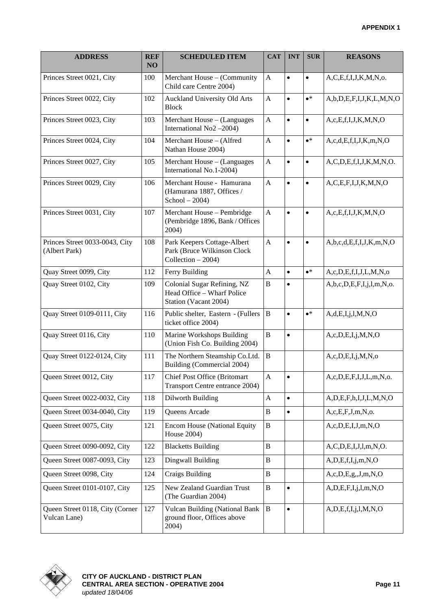| <b>ADDRESS</b>                                  | <b>REF</b><br>NO | <b>SCHEDULED ITEM</b>                                                              | <b>CAT</b>                | <b>INT</b> | <b>SUR</b>  | <b>REASONS</b>                   |
|-------------------------------------------------|------------------|------------------------------------------------------------------------------------|---------------------------|------------|-------------|----------------------------------|
| Princes Street 0021, City                       | 100              | Merchant House - (Community<br>Child care Centre 2004)                             | $\mathbf{A}$              |            | $\bullet$   | A, C, E, f, I, J, K, M, N, o.    |
| Princes Street 0022, City                       | 102              | Auckland University Old Arts<br><b>Block</b>                                       | $\overline{A}$            | $\bullet$  | $\bullet^*$ | A,b,D,E,F,I,J,K,L,M,N,O          |
| Princes Street 0023, City                       | 103              | Merchant House - (Languages<br>International No2-2004)                             | $\mathbf{A}$              | $\bullet$  | $\bullet$   | A, c, E, f, I, J, K, M, N, O     |
| Princes Street 0024, City                       | 104              | Merchant House - (Alfred<br>Nathan House 2004)                                     | $\mathbf{A}$              | $\bullet$  | $\bullet^*$ | A, c, d, E, f, I, J, K, m, N, O  |
| Princes Street 0027, City                       | 105              | Merchant House - (Languages<br>International No.1-2004)                            | $\mathbf{A}$              | $\bullet$  | $\bullet$   | A, C, D, E, f, I, J, K, M, N, O. |
| Princes Street 0029, City                       | 106              | Merchant House - Hamurana<br>(Hamurana 1887, Offices /<br>School $-2004$ )         | $\mathbf{A}$              | $\bullet$  | $\bullet$   | A, C, E, F, I, J, K, M, N, O     |
| Princes Street 0031, City                       | 107              | Merchant House - Pembridge<br>(Pembridge 1896, Bank / Offices<br>2004)             | $\mathbf{A}$              |            | $\bullet$   | A, c, E, f, I, J, K, M, N, O     |
| Princes Street 0033-0043, City<br>(Albert Park) | 108              | Park Keepers Cottage-Albert<br>Park (Bruce Wilkinson Clock<br>Collection - 2004)   | $\overline{A}$            |            | $\bullet$   | A,b,c,d,E,f,I,J,K,m,N,O          |
| Quay Street 0099, City                          | 112              | Ferry Building                                                                     | $\mathbf{A}$              | $\bullet$  | $\bullet^*$ | A, c, D, E, f, I, J, L, M, N, o  |
| Quay Street 0102, City                          | 109              | Colonial Sugar Refining, NZ<br>Head Office - Wharf Police<br>Station (Vacant 2004) | $\, {\bf B}$              | $\bullet$  |             | A,b,c,D,E,F,I,j,l,m,N,o.         |
| Quay Street 0109-0111, City                     | 116              | Public shelter, Eastern - (Fullers<br>ticket office 2004)                          | B                         | $\bullet$  | $\bullet^*$ | A,d,E,I,j,l,M,N,O                |
| Quay Street 0116, City                          | 110              | Marine Workshops Building<br>(Union Fish Co. Building 2004)                        | $\, {\bf B}$              | $\bullet$  |             | A, c, D, E, I, j, M, N, O        |
| Quay Street 0122-0124, City                     | 111              | The Northern Steamship Co.Ltd.<br>Building (Commercial 2004)                       | $\mathbf{B}$              |            |             | A, c, D, E, I, j, M, N, o        |
| Queen Street 0012, City                         | 117              | <b>Chief Post Office (Britomart</b><br>Transport Centre entrance 2004)             | $\boldsymbol{\mathsf{A}}$ |            |             | A,c,D,E,F,I,J,L,m,N,o.           |
| Queen Street 0022-0032, City                    | 118              | Dilworth Building                                                                  | $\mathbf{A}$              | $\bullet$  |             | A, D, E, F, h, I, J, L, M, N, O  |
| Queen Street 0034-0040, City                    | 119              | Queens Arcade                                                                      | B                         | $\bullet$  |             | A, c, E, F, J, m, N, o.          |
| Queen Street 0075, City                         | 121              | <b>Encom House (National Equity</b><br><b>House 2004)</b>                          | $\, {\bf B}$              |            |             | A, c, D, E, I, J, m, N, O        |
| Queen Street 0090-0092, City                    | 122              | <b>Blacketts Building</b>                                                          | $\bf{B}$                  |            |             | A, C, D, E, I, J, l, m, N, O.    |
| Queen Street 0087-0093, City                    | 123              | Dingwall Building                                                                  | $\, {\bf B}$              |            |             | A, D, E, f, I, j, m, N, O        |
| Queen Street 0098, City                         | 124              | <b>Craigs Building</b>                                                             | B                         |            |             | A, c, D, E, g, J, m, N, O        |
| Queen Street 0101-0107, City                    | 125              | New Zealand Guardian Trust<br>(The Guardian 2004)                                  | $\bf{B}$                  | $\bullet$  |             | A, D, E, F, I, j, l, m, N, O     |
| Queen Street 0118, City (Corner<br>Vulcan Lane) | 127              | <b>Vulcan Building (National Bank</b><br>ground floor, Offices above<br>2004)      | $\, {\bf B}$              | $\bullet$  |             | A, D, E, f, I, j, l, M, N, O     |

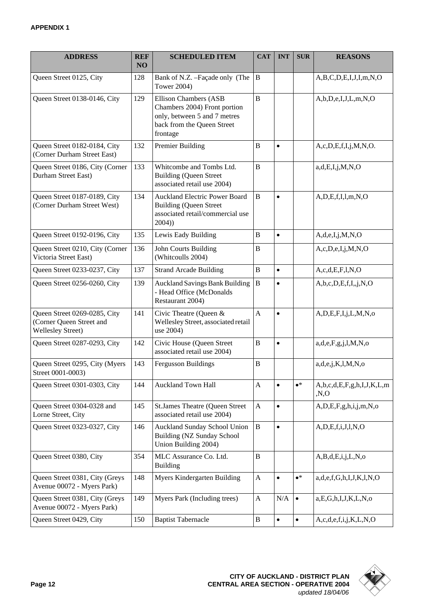| <b>ADDRESS</b>                                                                       | <b>REF</b><br>N <sub>O</sub> | <b>SCHEDULED ITEM</b>                                                                                                                  | <b>CAT</b>     | <b>INT</b> | <b>SUR</b>  | <b>REASONS</b>                    |
|--------------------------------------------------------------------------------------|------------------------------|----------------------------------------------------------------------------------------------------------------------------------------|----------------|------------|-------------|-----------------------------------|
| Queen Street 0125, City                                                              | 128                          | Bank of N.Z. - Façade only (The $ B $<br>Tower 2004)                                                                                   |                |            |             | A,B,C,D,E,I,J,I,m,N,O             |
| Queen Street 0138-0146, City                                                         | 129                          | <b>Ellison Chambers (ASB</b><br>Chambers 2004) Front portion<br>only, between 5 and 7 metres<br>back from the Queen Street<br>frontage | $\overline{B}$ |            |             | A,b,D,e,I,J,L,m,N,O               |
| Queen Street 0182-0184, City<br>(Corner Durham Street East)                          | 132                          | Premier Building                                                                                                                       | $\overline{B}$ | $\bullet$  |             | A, c, D, E, f, I, j, M, N, O.     |
| Queen Street 0186, City (Corner<br>Durham Street East)                               | 133                          | Whitcombe and Tombs Ltd.<br><b>Building (Queen Street</b><br>associated retail use 2004)                                               | B              |            |             | a,d,E,I,j,M,N,O                   |
| Queen Street 0187-0189, City<br>(Corner Durham Street West)                          | 134                          | <b>Auckland Electric Power Board</b><br><b>Building (Queen Street</b><br>associated retail/commercial use<br>$2004)$ )                 | B              | $\bullet$  |             | A, D, E, f, I, l, m, N, O         |
| Queen Street 0192-0196, City                                                         | 135                          | Lewis Eady Building                                                                                                                    | $\mathbf B$    | $\bullet$  |             | A,d,e,I,j,M,N,O                   |
| Queen Street 0210, City (Corner<br>Victoria Street East)                             | 136                          | John Courts Building<br>(Whitcoulls 2004)                                                                                              | B              |            |             | A, c, D, e, I, j, M, N, O         |
| Queen Street 0233-0237, City                                                         | 137                          | <b>Strand Arcade Building</b>                                                                                                          | $\bf{B}$       | $\bullet$  |             | A, c, d, E, F, l, N, O            |
| Queen Street 0256-0260, City                                                         | 139                          | Auckland Savings Bank Building<br>- Head Office (McDonalds<br>Restaurant 2004)                                                         | $\, {\bf B}$   | $\bullet$  |             | A,b,c,D,E,f,I,,j,N,O              |
| Queen Street 0269-0285, City<br>(Corner Queen Street and<br><b>Wellesley Street)</b> | 141                          | Civic Theatre (Queen &<br>Wellesley Street, associated retail<br>use 2004)                                                             | $\mathbf{A}$   | $\bullet$  |             | A, D, E, F, I, j, L, M, N, o      |
| Queen Street 0287-0293, City                                                         | 142                          | Civic House (Queen Street<br>associated retail use 2004)                                                                               | $\, {\bf B}$   | $\bullet$  |             | a,d,e,F,g,j,l,M,N,o               |
| Queen Street 0295, City (Myers<br>Street 0001-0003)                                  | 143                          | Fergusson Buildings                                                                                                                    | B              |            |             | a,d,e,j,K,l,M,N,o                 |
| Queen Street 0301-0303, City                                                         | 144                          | <b>Auckland Town Hall</b>                                                                                                              | A              | $\bullet$  | $\bullet^*$ | A,b,c,d,E,F,g,h,I,J,K,L,m<br>N, O |
| Queen Street 0304-0328 and<br>Lorne Street, City                                     | 145                          | <b>St.James Theatre (Queen Street)</b><br>associated retail use 2004)                                                                  | $\mathbf{A}$   | $\bullet$  |             | A, D, E, F, g, h, i, j, m, N, o   |
| Queen Street 0323-0327, City                                                         | 146                          | Auckland Sunday School Union<br>Building (NZ Sunday School<br>Union Building 2004)                                                     | $\, {\bf B}$   | $\bullet$  |             | A, D, E, f, i, J, l, N, O         |
| Queen Street 0380, City                                                              | 354                          | MLC Assurance Co. Ltd.<br><b>Building</b>                                                                                              | B              |            |             | A,B,d,E,i,j,L,N,o                 |
| Queen Street 0381, City (Greys<br>Avenue 00072 - Myers Park)                         | 148                          | Myers Kindergarten Building                                                                                                            | $\mathbf{A}$   | $\bullet$  | $\bullet^*$ | a,d,e,f,G,h,I,J,K,l,N,O           |
| Queen Street 0381, City (Greys<br>Avenue 00072 - Myers Park)                         | 149                          | Myers Park (Including trees)                                                                                                           | $\mathbf{A}$   | N/A        | $\bullet$   | a, E, G, h, I, J, K, L, N, o      |
| Queen Street 0429, City                                                              | 150                          | <b>Baptist Tabernacle</b>                                                                                                              | $\, {\bf B}$   | $\bullet$  | $\bullet$   | A, c, d, e, f, i, j, K, L, N, O   |

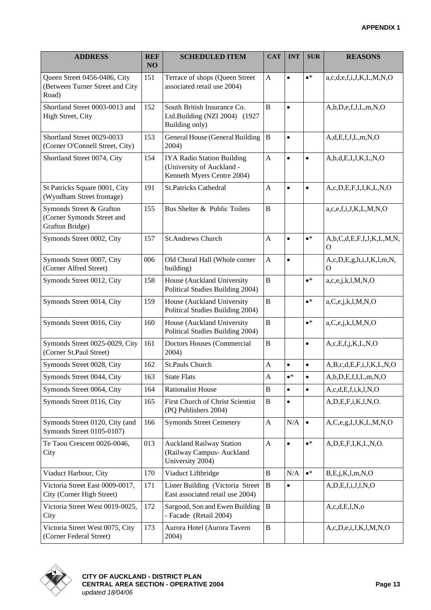| <b>ADDRESS</b>                                                            | <b>REF</b><br>NO | <b>SCHEDULED ITEM</b>                                                                        | <b>CAT</b>       | <b>INT</b>  | <b>SUR</b>  | <b>REASONS</b>                           |
|---------------------------------------------------------------------------|------------------|----------------------------------------------------------------------------------------------|------------------|-------------|-------------|------------------------------------------|
| Queen Street 0456-0486, City<br>(Between Turner Street and City<br>Road)  | 151              | Terrace of shops (Queen Street<br>associated retail use 2004)                                | $\mathbf{A}$     |             | $\bullet^*$ | a, c, d, e, f, i, J, K, L, M, N, O       |
| Shortland Street 0003-0013 and<br>High Street, City                       | 152              | South British Insurance Co.<br>Ltd.Building (NZI 2004) (1927<br>Building only)               | $\overline{B}$   | $\bullet$   |             | A,b,D,e,f,J,L,m,N,O                      |
| Shortland Street 0029-0033<br>(Corner O'Connell Street, City)             | 153              | General House (General Building<br>2004)                                                     | $\, {\bf B}$     | $\bullet$   |             | A,d,E,f,J,L,m,N,O                        |
| Shortland Street 0074, City                                               | 154              | <b>IYA Radio Station Building</b><br>(University of Auckland -<br>Kenneth Myers Centre 2004) | $\mathbf{A}$     | $\bullet$   | $\bullet$   | A,b,d,E,I,J,K,L,N,O                      |
| St Patricks Square 0001, City<br>(Wyndham Street frontage)                | 191              | <b>St.Patricks Cathedral</b>                                                                 | A                | $\bullet$   | $\bullet$   | A,c,D,E,F,I,J,K,L,N,O                    |
| Symonds Street & Grafton<br>(Corner Symonds Street and<br>Grafton Bridge) | 155              | Bus Shelter & Public Toilets                                                                 | $\overline{B}$   |             |             | a, c, e, f, i, J, K, L, M, N, O          |
| Symonds Street 0002, City                                                 | 157              | <b>St.Andrews Church</b>                                                                     | $\mathbf{A}$     | $\bullet$   | $\bullet^*$ | A,b,C,d,E,F,I,J,K,L,M,N,<br>O            |
| Symonds Street 0007, City<br>(Corner Alfred Street)                       | 006              | Old Choral Hall (Whole corner<br>building)                                                   | $\mathbf{A}$     | $\bullet$   |             | A, c, D, E, g, h, i, J, K, l, m, N,<br>Ω |
| Symonds Street 0012, City                                                 | 158              | House (Auckland University<br>Political Studies Building 2004)                               | $\overline{B}$   |             | $\bullet^*$ | a,c,e,j,k,l,M,N,O                        |
| Symonds Street 0014, City                                                 | 159              | House (Auckland University<br>Political Studies Building 2004)                               | $\overline{B}$   |             | $\bullet^*$ | a, C, e, j, k, l, M, N, O                |
| Symonds Street 0016, City                                                 | 160              | House (Auckland University<br>Political Studies Building 2004)                               | $\overline{B}$   |             | $\bullet^*$ | a, C, e, j, k, l, M, N, O                |
| Symonds Street 0025-0029, City<br>(Corner St.Paul Street)                 | 161              | Doctors Houses (Commercial<br>2004)                                                          | $\overline{B}$   |             | $\bullet$   | A, c, E, f, j, K, L, N, O                |
| Symonds Street 0028, City                                                 | 162              | <b>St.Pauls Church</b>                                                                       | $\boldsymbol{A}$ | $\bullet$   | $\bullet$   | A, B, c, d, E, F, i, J, K, L, N, O       |
| Symonds Street 0044, City                                                 | 163              | <b>State Flats</b>                                                                           | $\boldsymbol{A}$ | $\bullet^*$ |             | A,b,D,E,f,I,L,m,N,O                      |
| Symonds Street 0064, City                                                 | 164              | <b>Rationalist House</b>                                                                     | B                | $\bullet$   | $\bullet$   | A, c, d, E, f, i, k, l, N, O             |
| Symonds Street 0116, City                                                 | 165              | First Church of Christ Scientist<br>(PQ Publishers 2004)                                     | B                | $\bullet$   |             | A, D, E, F, i, K, l, N, O.               |
| Symonds Street 0120, City (and<br>Symonds Street 0105-0107)               | 166              | <b>Symonds Street Cemetery</b>                                                               | $\mathbf{A}$     | N/A         | $\bullet$   | A, C, e, g, I, J, K, L, M, N, O          |
| Te Taou Crescent 0026-0046,<br>City                                       | 013              | <b>Auckland Railway Station</b><br>(Railway Campus- Auckland<br>University 2004)             | $\mathbf{A}$     | $\bullet$   | $\bullet^*$ | A, D, E, F, I, K, L, N, O.               |
| Viaduct Harbour, City                                                     | 170              | Viaduct Liftbridge                                                                           | B                | N/A         | $\bullet^*$ | B, E, j, K, l, m, N, O                   |
| Victoria Street East 0009-0017,<br>City (Corner High Street)              | 171              | Lister Building (Victoria Street<br>East associated retail use 2004)                         | $\, {\bf B}$     | $\bullet$   |             | A, D, E, f, i, J, l, N, O                |
| Victoria Street West 0019-0025,<br>City                                   | 172              | Sargood, Son and Ewen Building<br>- Facade (Retail 2004)                                     | $\, {\bf B}$     |             |             | A, c, d, E, l, N, o                      |
| Victoria Street West 0075, City<br>(Corner Federal Street)                | 173              | Aurora Hotel (Aurora Tavern<br>2004)                                                         | $\bf{B}$         |             |             | A, c, D, e, i, J, K, l, M, N, O          |

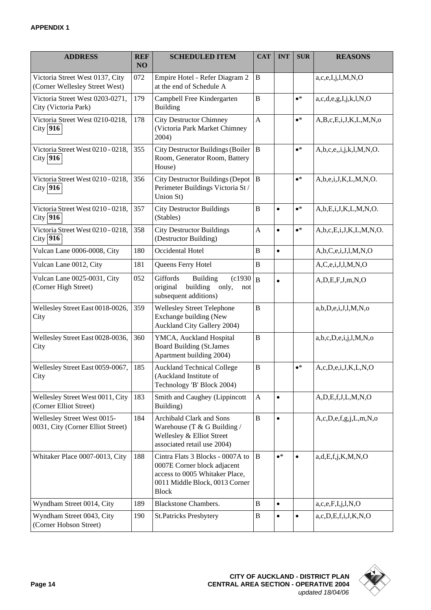| <b>ADDRESS</b>                                                    | <b>REF</b><br>NO | <b>SCHEDULED ITEM</b>                                                                                                                               | <b>CAT</b>     | <b>INT</b>  | <b>SUR</b>  | <b>REASONS</b>                  |
|-------------------------------------------------------------------|------------------|-----------------------------------------------------------------------------------------------------------------------------------------------------|----------------|-------------|-------------|---------------------------------|
| Victoria Street West 0137, City<br>(Corner Wellesley Street West) | 072              | Empire Hotel - Refer Diagram 2<br>at the end of Schedule A                                                                                          | $\, {\bf B}$   |             |             | a, c, e, I, j, l, M, N, O       |
| Victoria Street West 0203-0271,<br>City (Victoria Park)           | 179              | Campbell Free Kindergarten<br><b>Building</b>                                                                                                       | $\, {\bf B}$   |             | $\bullet^*$ | a, c, d, e, g, I, j, k, l, N, O |
| Victoria Street West 0210-0218,<br><b>City 916</b>                | 178              | <b>City Destructor Chimney</b><br>(Victoria Park Market Chimney<br>2004)                                                                            | $\mathbf{A}$   |             | $\bullet^*$ | A, B, c, E, i, J, K, L, M, N, o |
| Victoria Street West 0210 - 0218,<br>City $916$                   | 355              | City Destructor Buildings (Boiler   B<br>Room, Generator Room, Battery<br>House)                                                                    |                |             | $\bullet^*$ | A,b,c,e,i,j,k,l,M,N,O.          |
| Victoria Street West 0210 - 0218,<br>City $916$                   | 356              | City Destructor Buildings (Depot   B<br>Perimeter Buildings Victoria St /<br>Union St)                                                              |                |             | $\bullet^*$ | A,b,e,i,J,K,L,M,N,O.            |
| Victoria Street West 0210 - 0218,<br>City $916$                   | 357              | <b>City Destructor Buildings</b><br>(Stables)                                                                                                       | $\, {\bf B}$   | $\bullet$   | $\bullet^*$ | A,b,E,i,J,K,L,M,N,O.            |
| Victoria Street West 0210 - 0218,<br>City $916$                   | 358              | <b>City Destructor Buildings</b><br>(Destructor Building)                                                                                           | $\mathsf{A}$   | $\bullet$   | $\bullet^*$ | A,b,c,E,i,J,K,L,M,N,O.          |
| Vulcan Lane 0006-0008, City                                       | 180              | Occidental Hotel                                                                                                                                    | $\, {\bf B}$   | $\bullet$   |             | A,b,C,e,i,J,l,M,N,O             |
| Vulcan Lane 0012, City                                            | 181              | Queens Ferry Hotel                                                                                                                                  | $\overline{B}$ |             |             | A, C, e, i, J, l, M, N, O       |
| Vulcan Lane 0025-0031, City<br>(Corner High Street)               | 052              | Giffords<br><b>Building</b><br> c1930 B<br>building<br>original<br>only,<br>not<br>subsequent additions)                                            |                | $\bullet$   |             | A, D, E, F, J, m, N, O          |
| Wellesley Street East 0018-0026,<br>City                          | 359              | <b>Wellesley Street Telephone</b><br>Exchange building (New<br>Auckland City Gallery 2004)                                                          | $\, {\bf B}$   |             |             | a,b,D,e,i,J,l,M,N,o             |
| Wellesley Street East 0028-0036,<br>City                          | 360              | YMCA, Auckland Hospital<br><b>Board Building (St.James</b><br>Apartment building 2004)                                                              | $\overline{B}$ |             |             | a,b,c,D,e,i,j,l,M,N,o           |
| Wellesley Street East 0059-0067,<br>City                          | 185              | <b>Auckland Technical College</b><br>(Auckland Institute of<br>Technology 'B' Block 2004)                                                           | $\, {\bf B}$   |             | $\bullet^*$ | A,c,D,e,i,J,K,L,N,O             |
| Wellesley Street West 0011, City<br>(Corner Elliot Street)        | 183              | Smith and Caughey (Lippincott<br>Building)                                                                                                          | $\mathbf{A}$   | $\bullet$   |             | A, D, E, f, J, L, M, N, O       |
| Wellesley Street West 0015-<br>0031, City (Corner Elliot Street)  | 184              | <b>Archibald Clark and Sons</b><br>Warehouse (T & G Building /<br>Wellesley & Elliot Street<br>associated retail use 2004)                          | B              | $\bullet$   |             | A,c,D,e,f,g,j,L,m,N,o           |
| Whitaker Place 0007-0013, City                                    | 188              | Cintra Flats 3 Blocks - 0007A to<br>0007E Corner block adjacent<br>access to 0005 Whitaker Place,<br>0011 Middle Block, 0013 Corner<br><b>Block</b> | B              | $\bullet^*$ | $\bullet$   | a,d,E,f,j,K,M,N,O               |
| Wyndham Street 0014, City                                         | 189              | <b>Blackstone Chambers.</b>                                                                                                                         | B              | $\bullet$   |             | a,c,e,F,I,j,l,N,O               |
| Wyndham Street 0043, City<br>(Corner Hobson Street)               | 190              | <b>St.Patricks Presbytery</b>                                                                                                                       | $\, {\bf B}$   | $\bullet$   | $\bullet$   | a, c, D, E, f, i, J, K, N, O    |